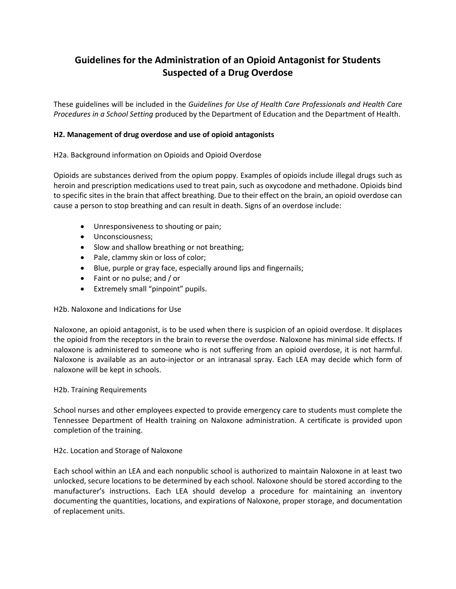# **Guidelines for the Administration of an Opioid Antagonist for Students Suspected of a Drug Overdose**

These guidelines will be included in the *Guidelines for Use of Health Care Professionals and Health Care Procedures in a School Setting* produced by the Department of Education and the Department of Health.

# **H2. Management of drug overdose and use of opioid antagonists**

## H2a. Background information on Opioids and Opioid Overdose

Opioids are substances derived from the opium poppy. Examples of opioids include illegal drugs such as heroin and prescription medications used to treat pain, such as oxycodone and methadone. Opioids bind to specific sites in the brain that affect breathing. Due to their effect on the brain, an opioid overdose can cause a person to stop breathing and can result in death. Signs of an overdose include:

- Unresponsiveness to shouting or pain;
- Unconsciousness;
- Slow and shallow breathing or not breathing;
- Pale, clammy skin or loss of color;
- Blue, purple or gray face, especially around lips and fingernails;
- Faint or no pulse; and / or
- Extremely small "pinpoint" pupils.

## H2b. Naloxone and Indications for Use

Naloxone, an opioid antagonist, is to be used when there is suspicion of an opioid overdose. It displaces the opioid from the receptors in the brain to reverse the overdose. Naloxone has minimal side effects. If naloxone is administered to someone who is not suffering from an opioid overdose, it is not harmful. Naloxone is available as an auto-injector or an intranasal spray. Each LEA may decide which form of naloxone will be kept in schools.

## H2b. Training Requirements

School nurses and other employees expected to provide emergency care to students must complete the Tennessee Department of Health training on Naloxone administration. A certificate is provided upon completion of the training.

## H2c. Location and Storage of Naloxone

Each school within an LEA and each nonpublic school is authorized to maintain Naloxone in at least two unlocked, secure locations to be determined by each school. Naloxone should be stored according to the manufacturer's instructions. Each LEA should develop a procedure for maintaining an inventory documenting the quantities, locations, and expirations of Naloxone, proper storage, and documentation of replacement units.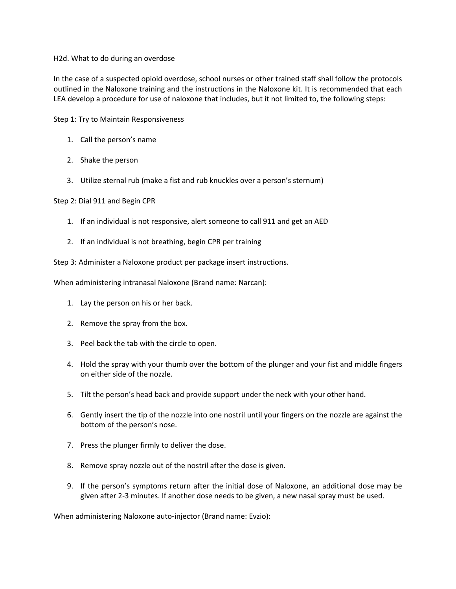#### H2d. What to do during an overdose

In the case of a suspected opioid overdose, school nurses or other trained staff shall follow the protocols outlined in the Naloxone training and the instructions in the Naloxone kit. It is recommended that each LEA develop a procedure for use of naloxone that includes, but it not limited to, the following steps:

Step 1: Try to Maintain Responsiveness

- 1. Call the person's name
- 2. Shake the person
- 3. Utilize sternal rub (make a fist and rub knuckles over a person's sternum)

Step 2: Dial 911 and Begin CPR

- 1. If an individual is not responsive, alert someone to call 911 and get an AED
- 2. If an individual is not breathing, begin CPR per training

Step 3: Administer a Naloxone product per package insert instructions.

When administering intranasal Naloxone (Brand name: Narcan):

- 1. Lay the person on his or her back.
- 2. Remove the spray from the box.
- 3. Peel back the tab with the circle to open.
- 4. Hold the spray with your thumb over the bottom of the plunger and your fist and middle fingers on either side of the nozzle.
- 5. Tilt the person's head back and provide support under the neck with your other hand.
- 6. Gently insert the tip of the nozzle into one nostril until your fingers on the nozzle are against the bottom of the person's nose.
- 7. Press the plunger firmly to deliver the dose.
- 8. Remove spray nozzle out of the nostril after the dose is given.
- 9. If the person's symptoms return after the initial dose of Naloxone, an additional dose may be given after 2-3 minutes. If another dose needs to be given, a new nasal spray must be used.

When administering Naloxone auto-injector (Brand name: Evzio):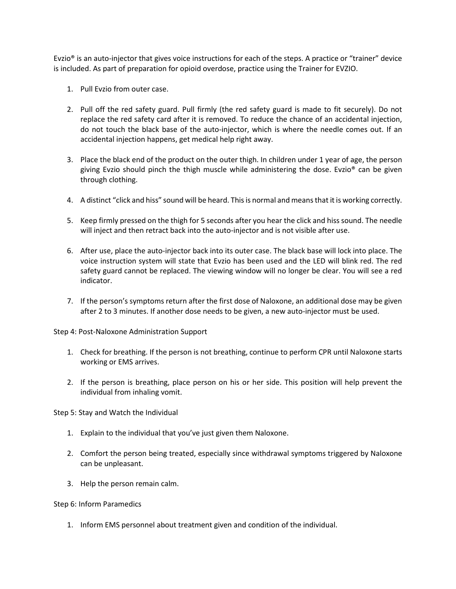Evzio® is an auto-injector that gives voice instructions for each of the steps. A practice or "trainer" device is included. As part of preparation for opioid overdose, practice using the Trainer for EVZIO.

- 1. Pull Evzio from outer case.
- 2. Pull off the red safety guard. Pull firmly (the red safety guard is made to fit securely). Do not replace the red safety card after it is removed. To reduce the chance of an accidental injection, do not touch the black base of the auto-injector, which is where the needle comes out. If an accidental injection happens, get medical help right away.
- 3. Place the black end of the product on the outer thigh. In children under 1 year of age, the person giving Evzio should pinch the thigh muscle while administering the dose. Evzio® can be given through clothing.
- 4. A distinct "click and hiss" sound will be heard. This is normal and means that it is working correctly.
- 5. Keep firmly pressed on the thigh for 5 seconds after you hear the click and hiss sound. The needle will inject and then retract back into the auto-injector and is not visible after use.
- 6. After use, place the auto-injector back into its outer case. The black base will lock into place. The voice instruction system will state that Evzio has been used and the LED will blink red. The red safety guard cannot be replaced. The viewing window will no longer be clear. You will see a red indicator.
- 7. If the person's symptoms return after the first dose of Naloxone, an additional dose may be given after 2 to 3 minutes. If another dose needs to be given, a new auto-injector must be used.

Step 4: Post-Naloxone Administration Support

- 1. Check for breathing. If the person is not breathing, continue to perform CPR until Naloxone starts working or EMS arrives.
- 2. If the person is breathing, place person on his or her side. This position will help prevent the individual from inhaling vomit.

Step 5: Stay and Watch the Individual

- 1. Explain to the individual that you've just given them Naloxone.
- 2. Comfort the person being treated, especially since withdrawal symptoms triggered by Naloxone can be unpleasant.
- 3. Help the person remain calm.

#### Step 6: Inform Paramedics

1. Inform EMS personnel about treatment given and condition of the individual.